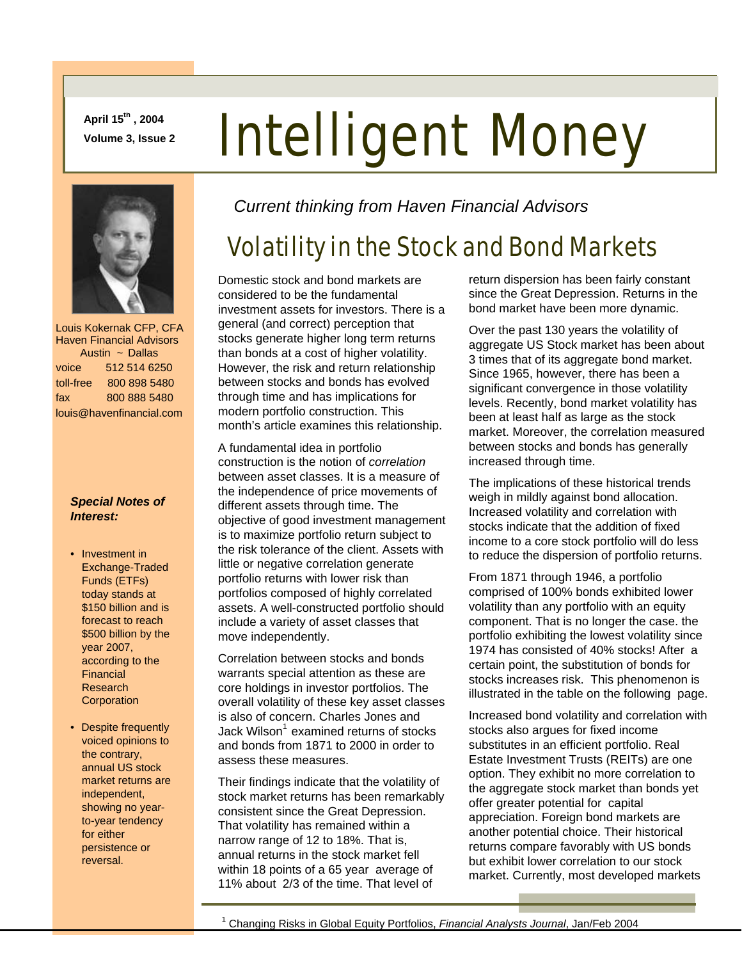**April 15th , 2004** 

# April 15", 2004<br>Volume 3, Issue 2 **Intelligent Money**



 Louis Kokernak CFP, CFA Haven Financial Advisors Austin ~ Dallas voice 512 514 6250 toll-free 800 898 5480 fax 800 888 5480 louis@havenfinancial.com

#### *Special Notes of Interest:*

- Investment in Exchange-Traded Funds (ETFs) today stands at \$150 billion and is forecast to reach \$500 billion by the year 2007, according to the Financial Research **Corporation**
- Despite frequently voiced opinions to the contrary, annual US stock market returns are independent, showing no yearto-year tendency for either persistence or reversal.

*Current thinking from Haven Financial Advisors* 

# Volatility in the Stock and Bond Markets

Domestic stock and bond markets are considered to be the fundamental investment assets for investors. There is a general (and correct) perception that stocks generate higher long term returns than bonds at a cost of higher volatility. However, the risk and return relationship between stocks and bonds has evolved through time and has implications for modern portfolio construction. This month's article examines this relationship.

A fundamental idea in portfolio construction is the notion of *correlation*  between asset classes. It is a measure of the independence of price movements of different assets through time. The objective of good investment management is to maximize portfolio return subject to the risk tolerance of the client. Assets with little or negative correlation generate portfolio returns with lower risk than portfolios composed of highly correlated assets. A well-constructed portfolio should include a variety of asset classes that move independently.

Correlation between stocks and bonds warrants special attention as these are core holdings in investor portfolios. The overall volatility of these key asset classes is also of concern. Charles Jones and Jack Wilson $<sup>1</sup>$  examined returns of stocks</sup> and bonds from 1871 to 2000 in order to assess these measures.

Their findings indicate that the volatility of stock market returns has been remarkably consistent since the Great Depression. That volatility has remained within a narrow range of 12 to 18%. That is, annual returns in the stock market fell within 18 points of a 65 year average of 11% about 2/3 of the time. That level of

return dispersion has been fairly constant since the Great Depression. Returns in the bond market have been more dynamic.

Over the past 130 years the volatility of aggregate US Stock market has been about 3 times that of its aggregate bond market. Since 1965, however, there has been a significant convergence in those volatility levels. Recently, bond market volatility has been at least half as large as the stock market. Moreover, the correlation measured between stocks and bonds has generally increased through time.

The implications of these historical trends weigh in mildly against bond allocation. Increased volatility and correlation with stocks indicate that the addition of fixed income to a core stock portfolio will do less to reduce the dispersion of portfolio returns.

From 1871 through 1946, a portfolio comprised of 100% bonds exhibited lower volatility than any portfolio with an equity component. That is no longer the case. the portfolio exhibiting the lowest volatility since 1974 has consisted of 40% stocks! After a certain point, the substitution of bonds for stocks increases risk. This phenomenon is illustrated in the table on the following page.

Increased bond volatility and correlation with stocks also argues for fixed income substitutes in an efficient portfolio. Real Estate Investment Trusts (REITs) are one option. They exhibit no more correlation to the aggregate stock market than bonds yet offer greater potential for capital appreciation. Foreign bond markets are another potential choice. Their historical returns compare favorably with US bonds but exhibit lower correlation to our stock market. Currently, most developed markets